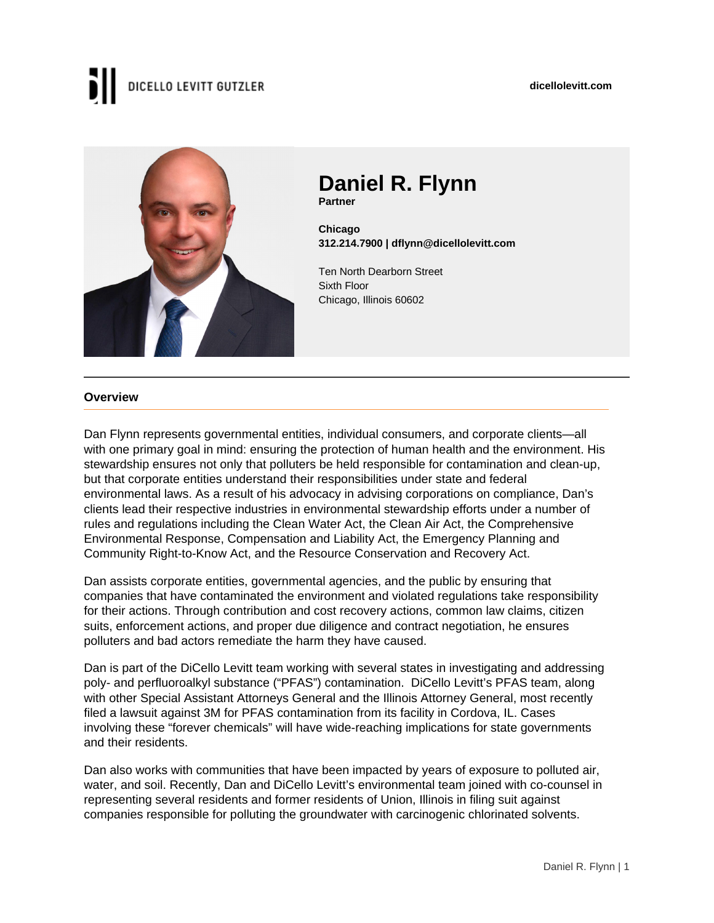#### **dicellolevitt.com**

# DICELLO LEVITT GUTZLER



### **Daniel R. Flynn Partner**

**Chicago 312.214.7900 | dflynn@dicellolevitt.com**

Ten North Dearborn Street Sixth Floor Chicago, Illinois 60602

#### **Overview**

Dan Flynn represents governmental entities, individual consumers, and corporate clients—all with one primary goal in mind: ensuring the protection of human health and the environment. His stewardship ensures not only that polluters be held responsible for contamination and clean-up, but that corporate entities understand their responsibilities under state and federal environmental laws. As a result of his advocacy in advising corporations on compliance, Dan's clients lead their respective industries in environmental stewardship efforts under a number of rules and regulations including the Clean Water Act, the Clean Air Act, the Comprehensive Environmental Response, Compensation and Liability Act, the Emergency Planning and Community Right-to-Know Act, and the Resource Conservation and Recovery Act.

Dan assists corporate entities, governmental agencies, and the public by ensuring that companies that have contaminated the environment and violated regulations take responsibility for their actions. Through contribution and cost recovery actions, common law claims, citizen suits, enforcement actions, and proper due diligence and contract negotiation, he ensures polluters and bad actors remediate the harm they have caused.

Dan is part of the DiCello Levitt team working with several states in investigating and addressing poly- and perfluoroalkyl substance ("PFAS") contamination. DiCello Levitt's PFAS team, along with other Special Assistant Attorneys General and the Illinois Attorney General, most recently filed a lawsuit against 3M for PFAS contamination from its facility in Cordova, IL. Cases involving these "forever chemicals" will have wide-reaching implications for state governments and their residents.

Dan also works with communities that have been impacted by years of exposure to polluted air, water, and soil. Recently, Dan and DiCello Levitt's environmental team joined with co-counsel in representing several residents and former residents of Union, Illinois in filing suit against companies responsible for polluting the groundwater with carcinogenic chlorinated solvents.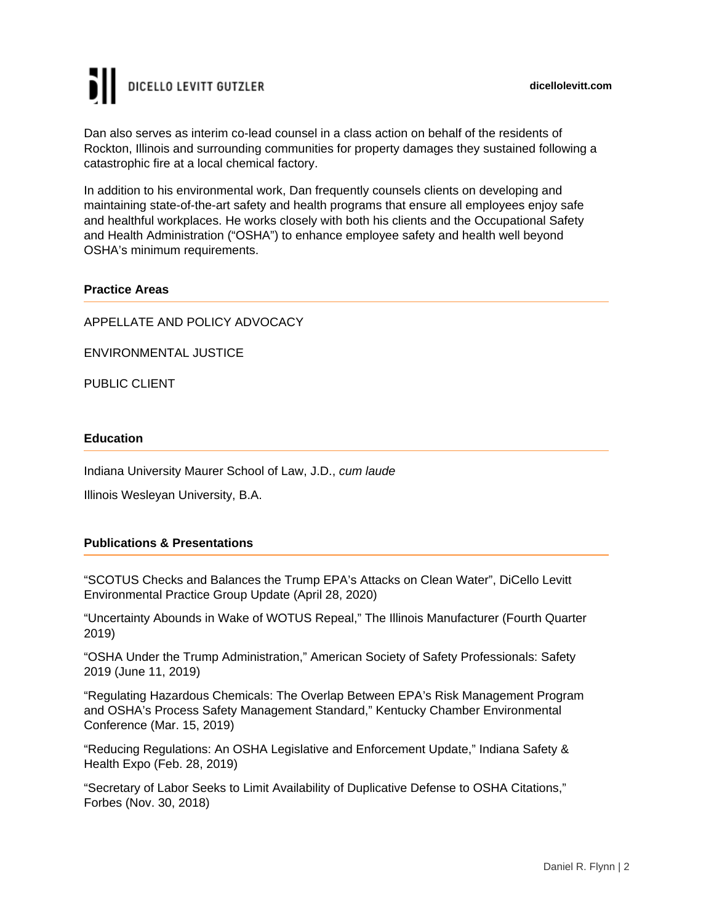# DICELLO LEVITT GUTZLER

Dan also serves as interim co-lead counsel in a class action on behalf of the residents of Rockton, Illinois and surrounding communities for property damages they sustained following a catastrophic fire at a local chemical factory.

In addition to his environmental work, Dan frequently counsels clients on developing and maintaining state-of-the-art safety and health programs that ensure all employees enjoy safe and healthful workplaces. He works closely with both his clients and the Occupational Safety and Health Administration ("OSHA") to enhance employee safety and health well beyond OSHA's minimum requirements.

### **Practice Areas**

APPELLATE AND POLICY ADVOCACY

ENVIRONMENTAL JUSTICE

PUBLIC CLIENT

#### **Education**

Indiana University Maurer School of Law, J.D., cum laude

Illinois Wesleyan University, B.A.

#### **Publications & Presentations**

"SCOTUS Checks and Balances the Trump EPA's Attacks on Clean Water", DiCello Levitt Environmental Practice Group Update (April 28, 2020)

"Uncertainty Abounds in Wake of WOTUS Repeal," The Illinois Manufacturer (Fourth Quarter 2019)

"OSHA Under the Trump Administration," American Society of Safety Professionals: Safety 2019 (June 11, 2019)

"Regulating Hazardous Chemicals: The Overlap Between EPA's Risk Management Program and OSHA's Process Safety Management Standard," Kentucky Chamber Environmental Conference (Mar. 15, 2019)

"Reducing Regulations: An OSHA Legislative and Enforcement Update," Indiana Safety & Health Expo (Feb. 28, 2019)

"Secretary of Labor Seeks to Limit Availability of Duplicative Defense to OSHA Citations," Forbes (Nov. 30, 2018)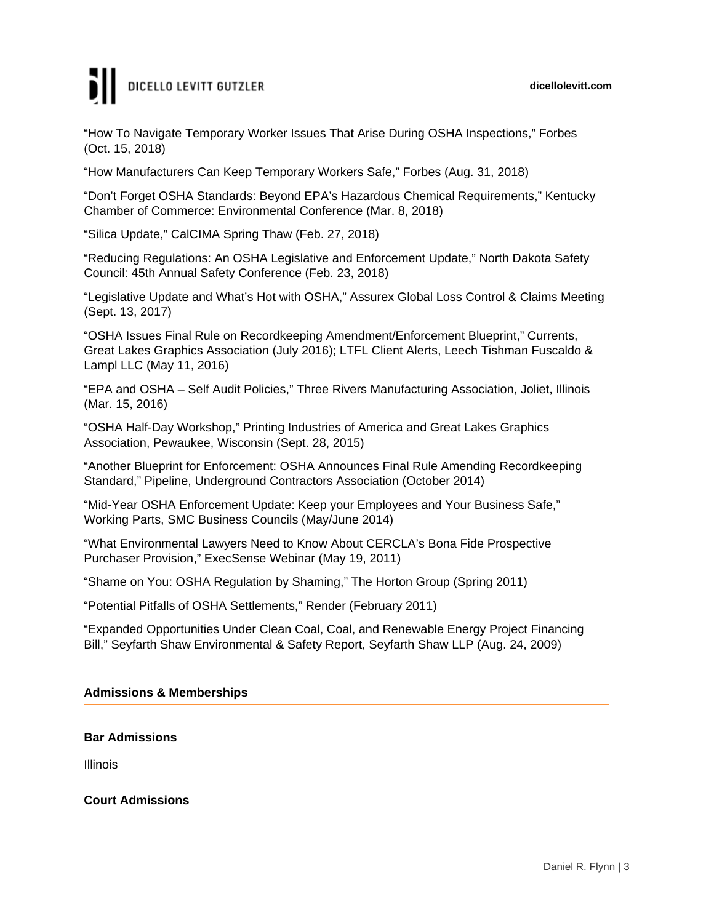#### **dicellolevitt.com**

# DICELLO LEVITT GUTZLER

"How To Navigate Temporary Worker Issues That Arise During OSHA Inspections," Forbes (Oct. 15, 2018)

"How Manufacturers Can Keep Temporary Workers Safe," Forbes (Aug. 31, 2018)

"Don't Forget OSHA Standards: Beyond EPA's Hazardous Chemical Requirements," Kentucky Chamber of Commerce: Environmental Conference (Mar. 8, 2018)

"Silica Update," CalCIMA Spring Thaw (Feb. 27, 2018)

"Reducing Regulations: An OSHA Legislative and Enforcement Update," North Dakota Safety Council: 45th Annual Safety Conference (Feb. 23, 2018)

"Legislative Update and What's Hot with OSHA," Assurex Global Loss Control & Claims Meeting (Sept. 13, 2017)

"OSHA Issues Final Rule on Recordkeeping Amendment/Enforcement Blueprint," Currents, Great Lakes Graphics Association (July 2016); LTFL Client Alerts, Leech Tishman Fuscaldo & Lampl LLC (May 11, 2016)

"EPA and OSHA – Self Audit Policies," Three Rivers Manufacturing Association, Joliet, Illinois (Mar. 15, 2016)

"OSHA Half-Day Workshop," Printing Industries of America and Great Lakes Graphics Association, Pewaukee, Wisconsin (Sept. 28, 2015)

"Another Blueprint for Enforcement: OSHA Announces Final Rule Amending Recordkeeping Standard," Pipeline, Underground Contractors Association (October 2014)

"Mid-Year OSHA Enforcement Update: Keep your Employees and Your Business Safe," Working Parts, SMC Business Councils (May/June 2014)

"What Environmental Lawyers Need to Know About CERCLA's Bona Fide Prospective Purchaser Provision," ExecSense Webinar (May 19, 2011)

"Shame on You: OSHA Regulation by Shaming," The Horton Group (Spring 2011)

"Potential Pitfalls of OSHA Settlements," Render (February 2011)

"Expanded Opportunities Under Clean Coal, Coal, and Renewable Energy Project Financing Bill," Seyfarth Shaw Environmental & Safety Report, Seyfarth Shaw LLP (Aug. 24, 2009)

#### **Admissions & Memberships**

#### **Bar Admissions**

Illinois

**Court Admissions**